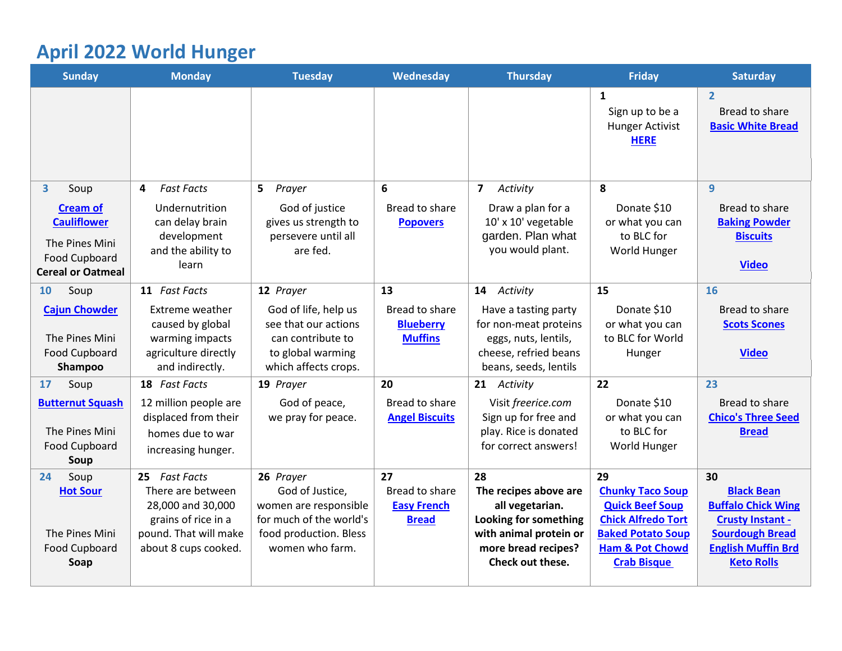# **April 2022 World Hunger**

<span id="page-0-0"></span>

| <b>Sunday</b>                                                                                        | <b>Monday</b>                                                                                                  | <b>Tuesday</b>                                                                                                   | Wednesday                                                   | <b>Thursday</b>                                                                                                                               | <b>Friday</b>                                                                                                                                                  | <b>Saturday</b>                                                                                                                                       |
|------------------------------------------------------------------------------------------------------|----------------------------------------------------------------------------------------------------------------|------------------------------------------------------------------------------------------------------------------|-------------------------------------------------------------|-----------------------------------------------------------------------------------------------------------------------------------------------|----------------------------------------------------------------------------------------------------------------------------------------------------------------|-------------------------------------------------------------------------------------------------------------------------------------------------------|
|                                                                                                      |                                                                                                                |                                                                                                                  |                                                             |                                                                                                                                               | 1<br>Sign up to be a<br><b>Hunger Activist</b><br><b>HERE</b>                                                                                                  | $\overline{2}$<br>Bread to share<br><b>Basic White Bread</b>                                                                                          |
| $\mathbf{3}$<br>Soup                                                                                 | <b>Fast Facts</b><br>4                                                                                         | 5 Prayer                                                                                                         | 6                                                           | $\overline{7}$<br>Activity                                                                                                                    | 8                                                                                                                                                              | 9                                                                                                                                                     |
| <b>Cream of</b><br><b>Cauliflower</b><br>The Pines Mini<br>Food Cupboard<br><b>Cereal or Oatmeal</b> | Undernutrition<br>can delay brain<br>development<br>and the ability to<br>learn                                | God of justice<br>gives us strength to<br>persevere until all<br>are fed.                                        | Bread to share<br><b>Popovers</b>                           | Draw a plan for a<br>10' x 10' vegetable<br>garden. Plan what<br>you would plant.                                                             | Donate \$10<br>or what you can<br>to BLC for<br>World Hunger                                                                                                   | Bread to share<br><b>Baking Powder</b><br><b>Biscuits</b><br><b>Video</b>                                                                             |
| Soup<br><b>10</b>                                                                                    | 11 Fast Facts                                                                                                  | 12 Prayer                                                                                                        | 13                                                          | Activity<br>14                                                                                                                                | 15                                                                                                                                                             | 16                                                                                                                                                    |
| <b>Cajun Chowder</b><br>The Pines Mini<br>Food Cupboard<br>Shampoo                                   | Extreme weather<br>caused by global<br>warming impacts<br>agriculture directly<br>and indirectly.              | God of life, help us<br>see that our actions<br>can contribute to<br>to global warming<br>which affects crops.   | Bread to share<br><b>Blueberry</b><br><b>Muffins</b>        | Have a tasting party<br>for non-meat proteins<br>eggs, nuts, lentils,<br>cheese, refried beans<br>beans, seeds, lentils                       | Donate \$10<br>or what you can<br>to BLC for World<br>Hunger                                                                                                   | Bread to share<br><b>Scots Scones</b><br><b>Video</b>                                                                                                 |
| Soup<br>17                                                                                           | 18 Fast Facts                                                                                                  | 19 Prayer                                                                                                        | 20                                                          | 21 Activity                                                                                                                                   | 22                                                                                                                                                             | 23                                                                                                                                                    |
| <b>Butternut Squash</b><br>The Pines Mini<br>Food Cupboard<br>Soup                                   | 12 million people are<br>displaced from their<br>homes due to war<br>increasing hunger.                        | God of peace,<br>we pray for peace.                                                                              | Bread to share<br><b>Angel Biscuits</b>                     | Visit freerice.com<br>Sign up for free and<br>play. Rice is donated<br>for correct answers!                                                   | Donate \$10<br>or what you can<br>to BLC for<br>World Hunger                                                                                                   | Bread to share<br><b>Chico's Three Seed</b><br><b>Bread</b>                                                                                           |
| Soup<br>24                                                                                           | 25 Fast Facts                                                                                                  | 26 Prayer                                                                                                        | 27                                                          | 28                                                                                                                                            | 29                                                                                                                                                             | 30                                                                                                                                                    |
| <b>Hot Sour</b><br>The Pines Mini<br>Food Cupboard<br>Soap                                           | There are between<br>28,000 and 30,000<br>grains of rice in a<br>pound. That will make<br>about 8 cups cooked. | God of Justice,<br>women are responsible<br>for much of the world's<br>food production. Bless<br>women who farm. | <b>Bread to share</b><br><b>Easy French</b><br><b>Bread</b> | The recipes above are<br>all vegetarian.<br><b>Looking for something</b><br>with animal protein or<br>more bread recipes?<br>Check out these. | <b>Chunky Taco Soup</b><br><b>Quick Beef Soup</b><br><b>Chick Alfredo Tort</b><br><b>Baked Potato Soup</b><br><b>Ham &amp; Pot Chowd</b><br><b>Crab Bisque</b> | <b>Black Bean</b><br><b>Buffalo Chick Wing</b><br><b>Crusty Instant -</b><br><b>Sourdough Bread</b><br><b>English Muffin Brd</b><br><b>Keto Rolls</b> |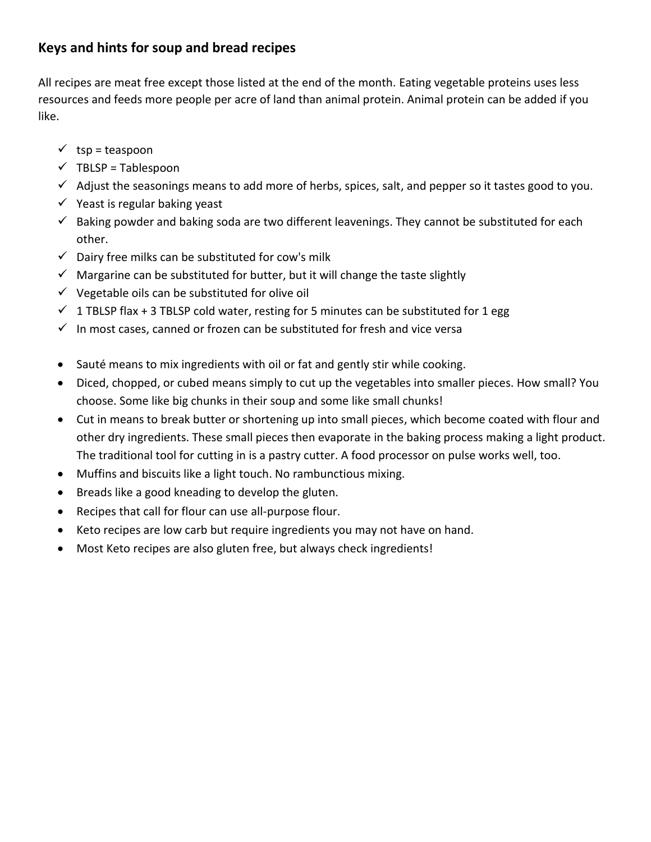# **Keys and hints for soup and bread recipes**

All recipes are meat free except those listed at the end of the month. Eating vegetable proteins uses less resources and feeds more people per acre of land than animal protein. Animal protein can be added if you like.

- $\checkmark$  tsp = teaspoon
- $\checkmark$  TBLSP = Tablespoon
- $\checkmark$  Adjust the seasonings means to add more of herbs, spices, salt, and pepper so it tastes good to you.
- $\checkmark$  Yeast is regular baking yeast
- $\checkmark$  Baking powder and baking soda are two different leavenings. They cannot be substituted for each other.
- $\checkmark$  Dairy free milks can be substituted for cow's milk
- $\checkmark$  Margarine can be substituted for butter, but it will change the taste slightly
- $\checkmark$  Vegetable oils can be substituted for olive oil
- $\checkmark$  1 TBLSP flax + 3 TBLSP cold water, resting for 5 minutes can be substituted for 1 egg
- $\checkmark$  In most cases, canned or frozen can be substituted for fresh and vice versa
- Sauté means to mix ingredients with oil or fat and gently stir while cooking.
- Diced, chopped, or cubed means simply to cut up the vegetables into smaller pieces. How small? You choose. Some like big chunks in their soup and some like small chunks!
- Cut in means to break butter or shortening up into small pieces, which become coated with flour and other dry ingredients. These small pieces then evaporate in the baking process making a light product. The traditional tool for cutting in is a pastry cutter. A food processor on pulse works well, too.
- Muffins and biscuits like a light touch. No rambunctious mixing.
- Breads like a good kneading to develop the gluten.
- Recipes that call for flour can use all-purpose flour.
- Keto recipes are low carb but require ingredients you may not have on hand.
- Most Keto recipes are also gluten free, but always check ingredients!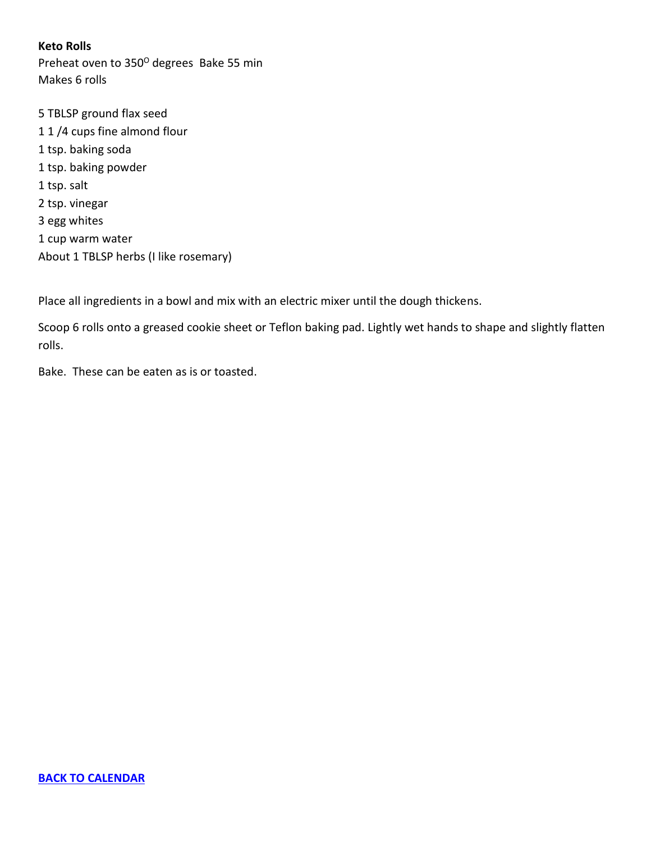<span id="page-2-0"></span>**Keto Rolls** Preheat oven to 350° degrees Bake 55 min Makes 6 rolls

5 TBLSP ground flax seed 1 1 /4 cups fine almond flour 1 tsp. baking soda 1 tsp. baking powder 1 tsp. salt 2 tsp. vinegar 3 egg whites 1 cup warm water About 1 TBLSP herbs (I like rosemary)

Place all ingredients in a bowl and mix with an electric mixer until the dough thickens.

Scoop 6 rolls onto a greased cookie sheet or Teflon baking pad. Lightly wet hands to shape and slightly flatten rolls.

Bake. These can be eaten as is or toasted.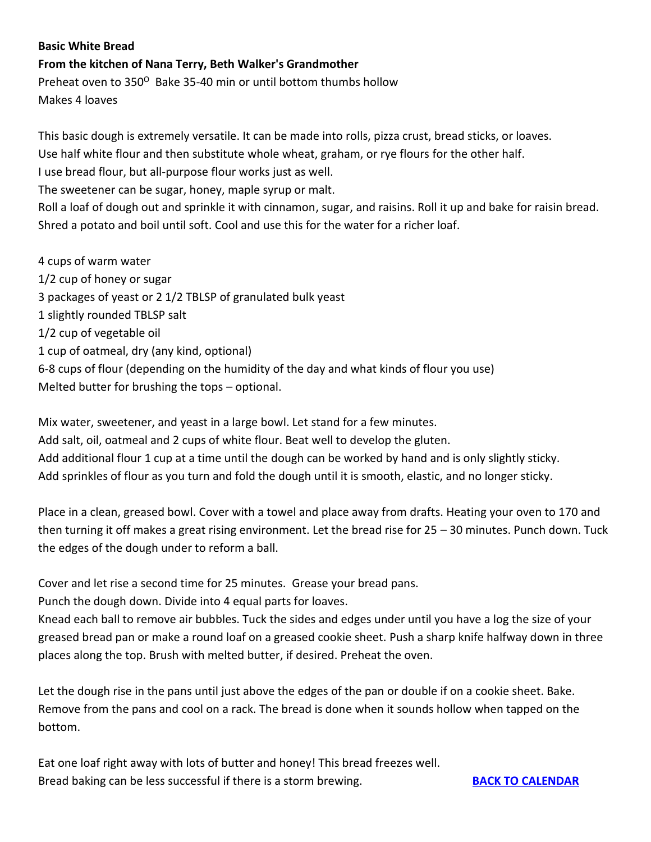## <span id="page-3-0"></span>**Basic White Bread**

**From the kitchen of Nana Terry, Beth Walker's Grandmother**

Preheat oven to 350<sup>°</sup> Bake 35-40 min or until bottom thumbs hollow Makes 4 loaves

This basic dough is extremely versatile. It can be made into rolls, pizza crust, bread sticks, or loaves. Use half white flour and then substitute whole wheat, graham, or rye flours for the other half. I use bread flour, but all-purpose flour works just as well.

The sweetener can be sugar, honey, maple syrup or malt.

Roll a loaf of dough out and sprinkle it with cinnamon, sugar, and raisins. Roll it up and bake for raisin bread. Shred a potato and boil until soft. Cool and use this for the water for a richer loaf.

4 cups of warm water 1/2 cup of honey or sugar 3 packages of yeast or 2 1/2 TBLSP of granulated bulk yeast 1 slightly rounded TBLSP salt 1/2 cup of vegetable oil 1 cup of oatmeal, dry (any kind, optional) 6-8 cups of flour (depending on the humidity of the day and what kinds of flour you use) Melted butter for brushing the tops – optional.

Mix water, sweetener, and yeast in a large bowl. Let stand for a few minutes. Add salt, oil, oatmeal and 2 cups of white flour. Beat well to develop the gluten. Add additional flour 1 cup at a time until the dough can be worked by hand and is only slightly sticky. Add sprinkles of flour as you turn and fold the dough until it is smooth, elastic, and no longer sticky.

Place in a clean, greased bowl. Cover with a towel and place away from drafts. Heating your oven to 170 and then turning it off makes a great rising environment. Let the bread rise for 25 – 30 minutes. Punch down. Tuck the edges of the dough under to reform a ball.

Cover and let rise a second time for 25 minutes. Grease your bread pans.

Punch the dough down. Divide into 4 equal parts for loaves.

Knead each ball to remove air bubbles. Tuck the sides and edges under until you have a log the size of your greased bread pan or make a round loaf on a greased cookie sheet. Push a sharp knife halfway down in three places along the top. Brush with melted butter, if desired. Preheat the oven.

Let the dough rise in the pans until just above the edges of the pan or double if on a cookie sheet. Bake. Remove from the pans and cool on a rack. The bread is done when it sounds hollow when tapped on the bottom.

Eat one loaf right away with lots of butter and honey! This bread freezes well. Bread baking can be less successful if there is a storm brewing. **[BACK TO CALENDAR](#page-0-0)**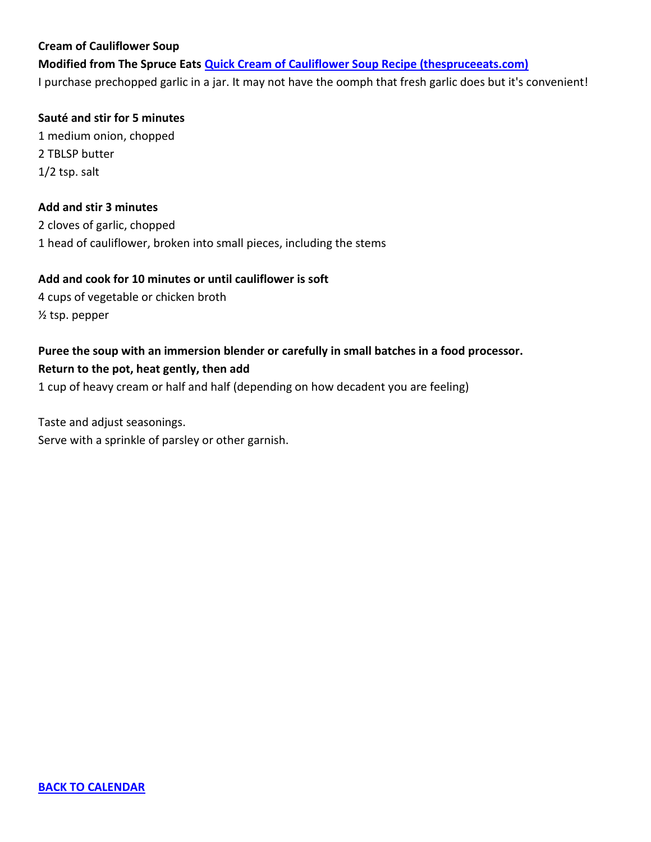## <span id="page-4-0"></span>**Cream of Cauliflower Soup**

**Modified from The Spruce Eats [Quick Cream of Cauliflower Soup Recipe \(thespruceeats.com\)](https://www.thespruceeats.com/cream-of-cauliflower-soup-2216115)** I purchase prechopped garlic in a jar. It may not have the oomph that fresh garlic does but it's convenient!

#### **Sauté and stir for 5 minutes**

1 medium onion, chopped 2 TBLSP butter 1/2 tsp. salt

## **Add and stir 3 minutes**

2 cloves of garlic, chopped 1 head of cauliflower, broken into small pieces, including the stems

#### **Add and cook for 10 minutes or until cauliflower is soft**

4 cups of vegetable or chicken broth ½ tsp. pepper

## **Puree the soup with an immersion blender or carefully in small batches in a food processor. Return to the pot, heat gently, then add**

1 cup of heavy cream or half and half (depending on how decadent you are feeling)

Taste and adjust seasonings. Serve with a sprinkle of parsley or other garnish.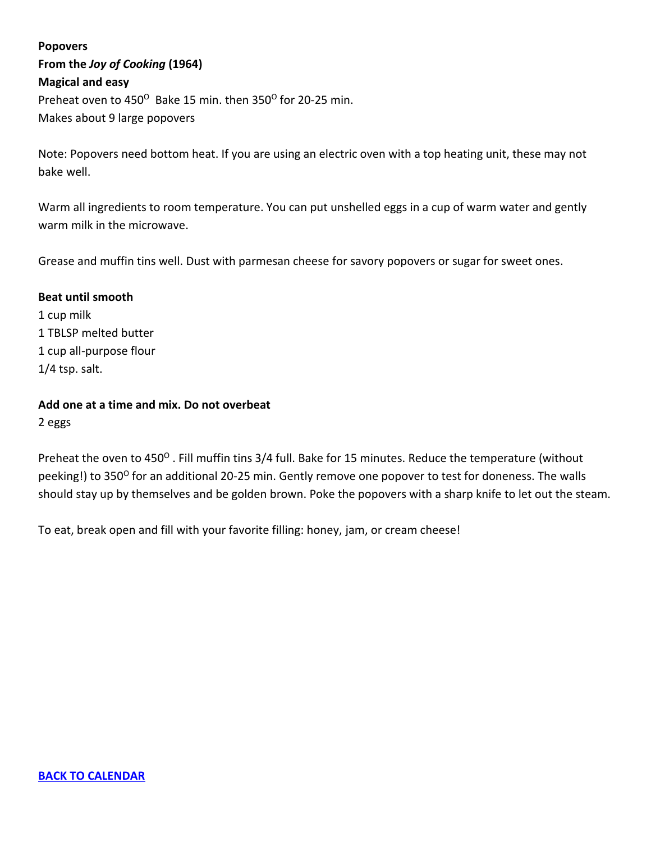# <span id="page-5-0"></span>**Popovers From the** *Joy of Cooking* **(1964) Magical and easy** Preheat oven to 450° Bake 15 min. then 350° for 20-25 min. Makes about 9 large popovers

Note: Popovers need bottom heat. If you are using an electric oven with a top heating unit, these may not bake well.

Warm all ingredients to room temperature. You can put unshelled eggs in a cup of warm water and gently warm milk in the microwave.

Grease and muffin tins well. Dust with parmesan cheese for savory popovers or sugar for sweet ones.

#### **Beat until smooth**

1 cup milk 1 TBLSP melted butter 1 cup all-purpose flour 1/4 tsp. salt.

**Add one at a time and mix. Do not overbeat** 2 eggs

Preheat the oven to 450<sup>o</sup>. Fill muffin tins 3/4 full. Bake for 15 minutes. Reduce the temperature (without peeking!) to 350<sup>0</sup> for an additional 20-25 min. Gently remove one popover to test for doneness. The walls should stay up by themselves and be golden brown. Poke the popovers with a sharp knife to let out the steam.

To eat, break open and fill with your favorite filling: honey, jam, or cream cheese!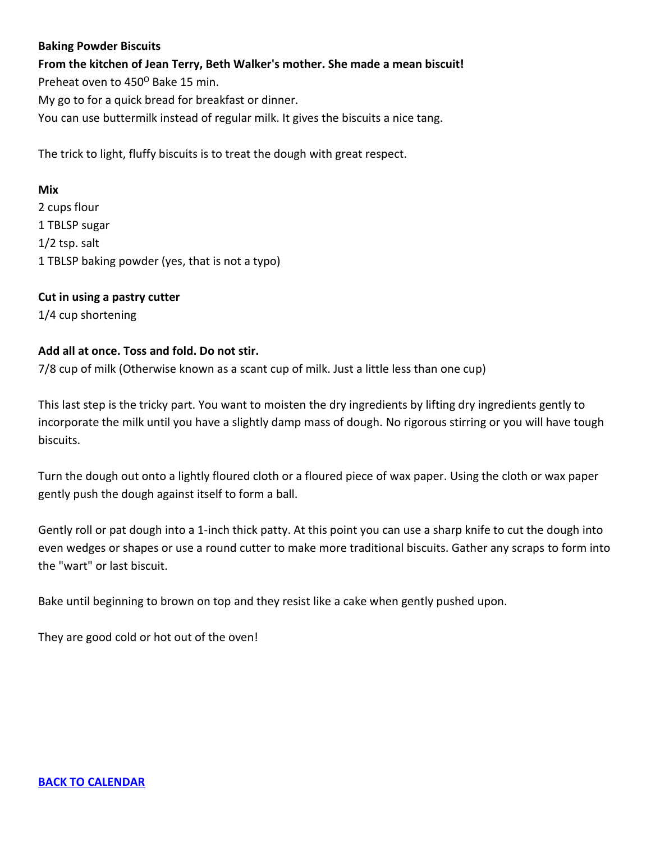## <span id="page-6-0"></span>**Baking Powder Biscuits**

**From the kitchen of Jean Terry, Beth Walker's mother. She made a mean biscuit!** Preheat oven to 450° Bake 15 min. My go to for a quick bread for breakfast or dinner. You can use buttermilk instead of regular milk. It gives the biscuits a nice tang.

The trick to light, fluffy biscuits is to treat the dough with great respect.

#### **Mix**

2 cups flour 1 TBLSP sugar 1/2 tsp. salt 1 TBLSP baking powder (yes, that is not a typo)

## **Cut in using a pastry cutter**

1/4 cup shortening

## **Add all at once. Toss and fold. Do not stir.**

7/8 cup of milk (Otherwise known as a scant cup of milk. Just a little less than one cup)

This last step is the tricky part. You want to moisten the dry ingredients by lifting dry ingredients gently to incorporate the milk until you have a slightly damp mass of dough. No rigorous stirring or you will have tough biscuits.

Turn the dough out onto a lightly floured cloth or a floured piece of wax paper. Using the cloth or wax paper gently push the dough against itself to form a ball.

Gently roll or pat dough into a 1-inch thick patty. At this point you can use a sharp knife to cut the dough into even wedges or shapes or use a round cutter to make more traditional biscuits. Gather any scraps to form into the "wart" or last biscuit.

Bake until beginning to brown on top and they resist like a cake when gently pushed upon.

They are good cold or hot out of the oven!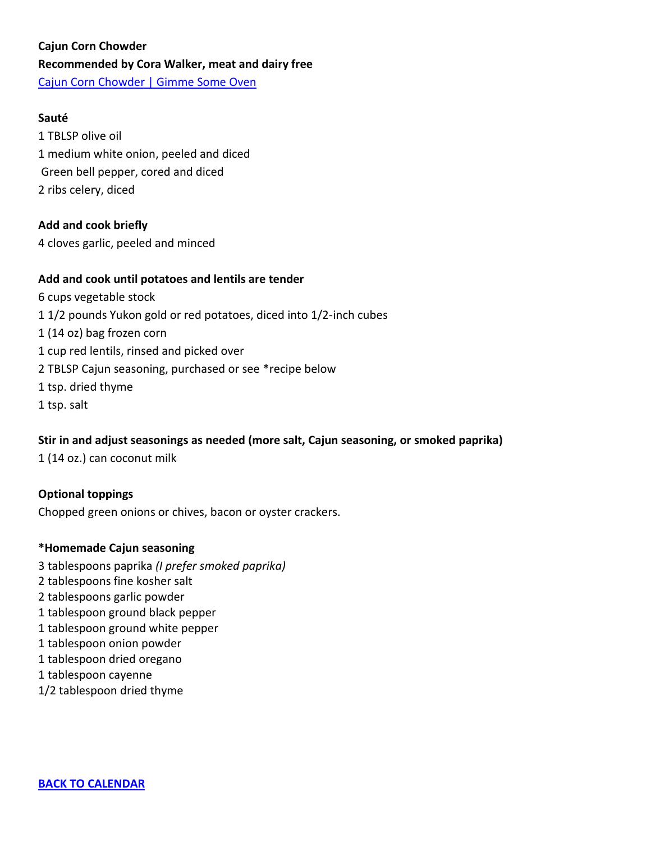# <span id="page-7-0"></span>**Cajun Corn Chowder Recommended by Cora Walker, meat and dairy free** [Cajun Corn Chowder | Gimme Some Oven](https://www.gimmesomeoven.com/cajun-corn-chowder/print-recipe/60308/)

## **Sauté**

1 TBLSP olive oil 1 medium white onion, peeled and diced Green bell pepper, cored and diced 2 ribs celery, diced

## **Add and cook briefly**

4 cloves garlic, peeled and minced

## **Add and cook until potatoes and lentils are tender**

6 cups vegetable stock 1 1/2 pounds Yukon gold or red potatoes, diced into 1/2-inch cubes 1 (14 oz) bag frozen corn 1 cup red lentils, rinsed and picked over 2 TBLSP Cajun seasoning, purchased or see \*recipe below 1 tsp. dried thyme 1 tsp. salt

## **Stir in and adjust seasonings as needed (more salt, Cajun seasoning, or smoked paprika)**

1 (14 oz.) can coconut milk

**Optional toppings** Chopped green onions or chives, bacon or oyster crackers.

## **\*Homemade Cajun seasoning**

<span id="page-7-1"></span> tablespoons [paprika](https://amzn.to/37E5OHd) *(I prefer smoked [paprika\)](https://amzn.to/38Pq6NU)* tablespoons fine kosher salt tablespoons garlic [powder](https://amzn.to/2OaJSvo) tablespoon ground black [pepper](https://amzn.to/2S2JRep) tablespoon ground white [pepper](https://amzn.to/2U5IVZb) tablespoon onion [powder](https://amzn.to/36wZFes) tablespoon dried [oregano](https://amzn.to/2vzDZSl) tablespoon [cayenne](https://amzn.to/315SBUQ) 1/2 tablespoon dried [thyme](https://amzn.to/38SjRcu)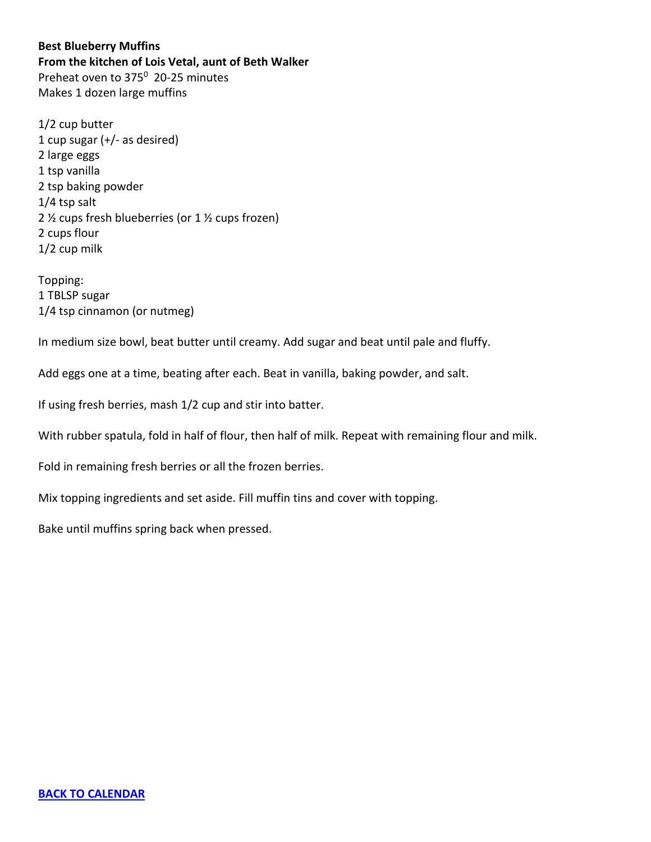**Best Blueberry Muffins From the kitchen of Lois Vetal, aunt of Beth Walker** Preheat oven to 375<sup>0</sup> 20-25 minutes Makes 1 dozen large muffins

1/2 cup butter 1 cup sugar (+/- as desired) 2 large eggs 1 tsp vanilla 2 tsp baking powder 1/4 tsp salt 2 ½ cups fresh blueberries (or 1 ½ cups frozen) 2 cups flour 1/2 cup milk

Topping: 1 TBLSP sugar 1/4 tsp cinnamon (or nutmeg)

In medium size bowl, beat butter until creamy. Add sugar and beat until pale and fluffy.

Add eggs one at a time, beating after each. Beat in vanilla, baking powder, and salt.

If using fresh berries, mash 1/2 cup and stir into batter.

With rubber spatula, fold in half of flour, then half of milk. Repeat with remaining flour and milk.

Fold in remaining fresh berries or all the frozen berries.

Mix topping ingredients and set aside. Fill muffin tins and cover with topping.

Bake until muffins spring back when pressed.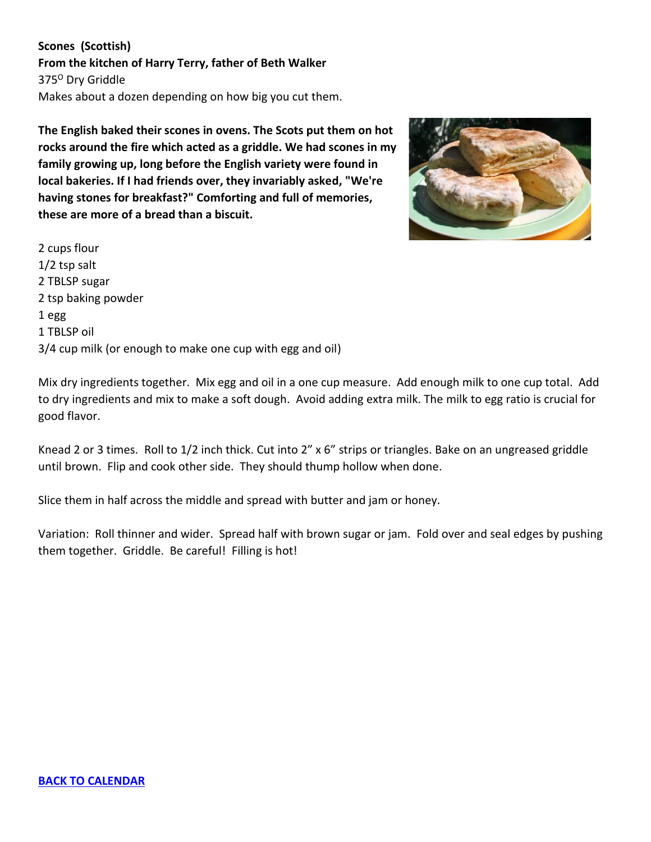<span id="page-9-0"></span>**Scones (Scottish) From the kitchen of Harry Terry, father of Beth Walker** 375<sup>0</sup> Dry Griddle Makes about a dozen depending on how big you cut them.

**The English baked their scones in ovens. The Scots put them on hot rocks around the fire which acted as a griddle. We had scones in my family growing up, long before the English variety were found in local bakeries. If I had friends over, they invariably asked, "We're having stones for breakfast?" Comforting and full of memories, these are more of a bread than a biscuit.** 



2 cups flour 1/2 tsp salt 2 TBLSP sugar 2 tsp baking powder 1 egg 1 TBLSP oil 3/4 cup milk (or enough to make one cup with egg and oil)

Mix dry ingredients together. Mix egg and oil in a one cup measure. Add enough milk to one cup total. Add to dry ingredients and mix to make a soft dough. Avoid adding extra milk. The milk to egg ratio is crucial for good flavor.

Knead 2 or 3 times. Roll to 1/2 inch thick. Cut into 2" x 6" strips or triangles. Bake on an ungreased griddle until brown. Flip and cook other side. They should thump hollow when done.

Slice them in half across the middle and spread with butter and jam or honey.

Variation: Roll thinner and wider. Spread half with brown sugar or jam. Fold over and seal edges by pushing them together. Griddle. Be careful! Filling is hot!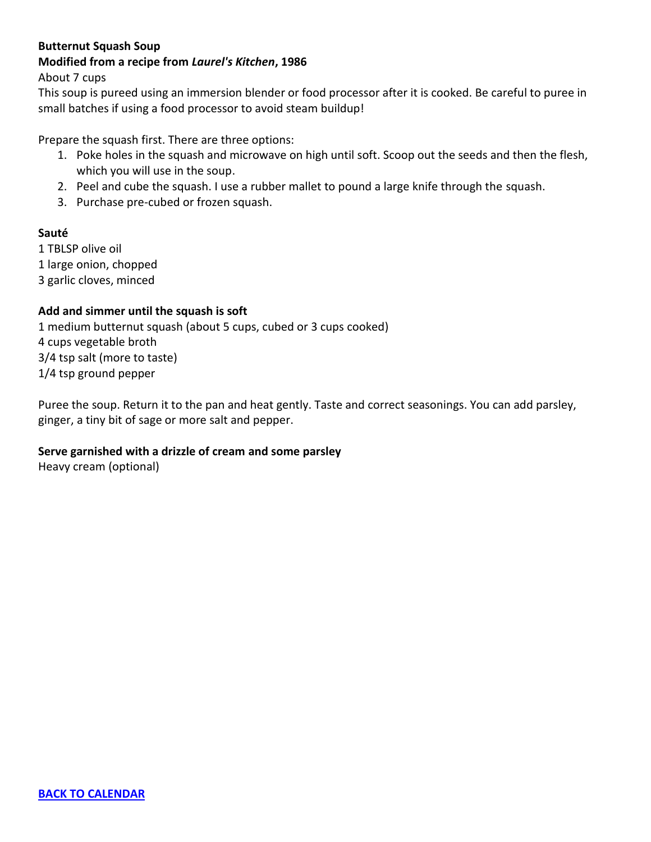## <span id="page-10-0"></span>**Butternut Squash Soup**

## **Modified from a recipe from** *Laurel's Kitchen***, 1986**

About 7 cups

This soup is pureed using an immersion blender or food processor after it is cooked. Be careful to puree in small batches if using a food processor to avoid steam buildup!

Prepare the squash first. There are three options:

- 1. Poke holes in the squash and microwave on high until soft. Scoop out the seeds and then the flesh, which you will use in the soup.
- 2. Peel and cube the squash. I use a rubber mallet to pound a large knife through the squash.
- 3. Purchase pre-cubed or frozen squash.

## **Sauté**

1 TBLSP olive oil 1 large onion, chopped 3 garlic cloves, minced

## **Add and simmer until the squash is soft**

1 medium butternut squash (about 5 cups, cubed or 3 cups cooked) 4 cups vegetable broth 3/4 tsp salt (more to taste) 1/4 tsp ground pepper

Puree the soup. Return it to the pan and heat gently. Taste and correct seasonings. You can add parsley, ginger, a tiny bit of sage or more salt and pepper.

## **Serve garnished with a drizzle of cream and some parsley**

Heavy cream (optional)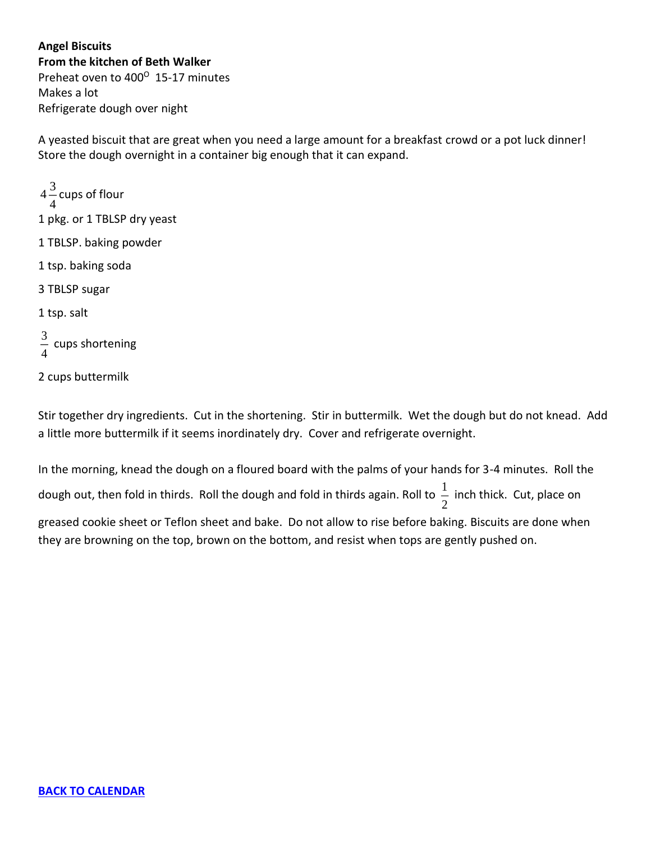<span id="page-11-0"></span>**Angel Biscuits From the kitchen of Beth Walker** Preheat oven to 400<sup>°</sup> 15-17 minutes Makes a lot Refrigerate dough over night

A yeasted biscuit that are great when you need a large amount for a breakfast crowd or a pot luck dinner! Store the dough overnight in a container big enough that it can expand.

 $4\frac{3}{4}$  $\frac{1}{4}$  cups of flour<br>4 1 pkg. or 1 TBLSP dry yeast 1 TBLSP. baking powder 1 tsp. baking soda 3 TBLSP sugar 1 tsp. salt 3  $\frac{5}{4}$  cups shortening

2 cups buttermilk

Stir together dry ingredients. Cut in the shortening. Stir in buttermilk. Wet the dough but do not knead. Add a little more buttermilk if it seems inordinately dry. Cover and refrigerate overnight.

In the morning, knead the dough on a floured board with the palms of your hands for 3-4 minutes. Roll the

dough out, then fold in thirds. Roll the dough and fold in thirds again. Roll to  $\frac{1}{2}$  $\frac{1}{2}$  inch thick. Cut, place on

greased cookie sheet or Teflon sheet and bake. Do not allow to rise before baking. Biscuits are done when they are browning on the top, brown on the bottom, and resist when tops are gently pushed on.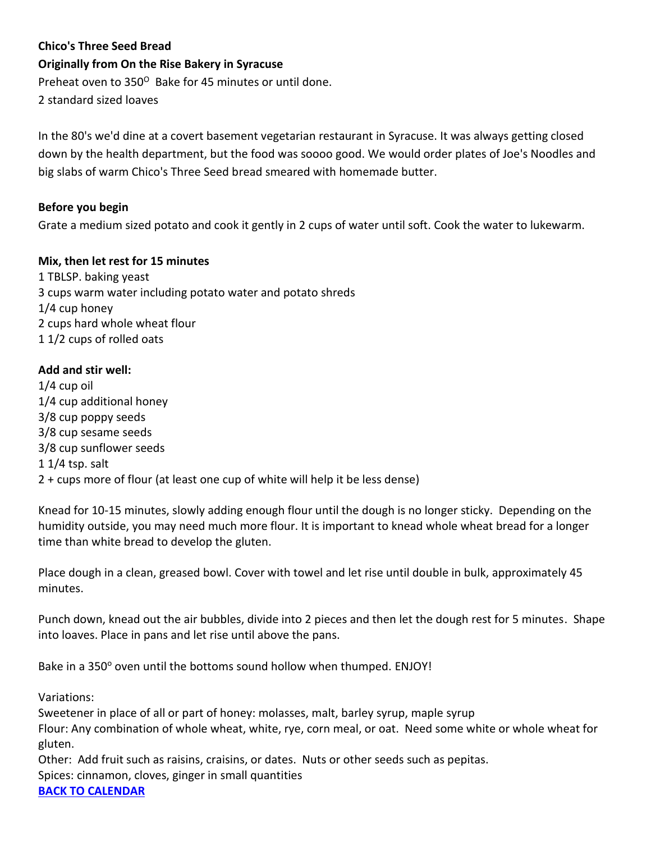## <span id="page-12-0"></span>**Chico's Three Seed Bread**

## **Originally from On the Rise Bakery in Syracuse**

Preheat oven to 350<sup>°</sup> Bake for 45 minutes or until done.

2 standard sized loaves

In the 80's we'd dine at a covert basement vegetarian restaurant in Syracuse. It was always getting closed down by the health department, but the food was soooo good. We would order plates of Joe's Noodles and big slabs of warm Chico's Three Seed bread smeared with homemade butter.

## **Before you begin**

Grate a medium sized potato and cook it gently in 2 cups of water until soft. Cook the water to lukewarm.

## **Mix, then let rest for 15 minutes**

1 TBLSP. baking yeast 3 cups warm water including potato water and potato shreds 1/4 cup honey 2 cups hard whole wheat flour 1 1/2 cups of rolled oats

## **Add and stir well:**

1/4 cup oil 1/4 cup additional honey 3/8 cup poppy seeds 3/8 cup sesame seeds 3/8 cup sunflower seeds 1 1/4 tsp. salt 2 + cups more of flour (at least one cup of white will help it be less dense)

Knead for 10-15 minutes, slowly adding enough flour until the dough is no longer sticky. Depending on the humidity outside, you may need much more flour. It is important to knead whole wheat bread for a longer time than white bread to develop the gluten.

Place dough in a clean, greased bowl. Cover with towel and let rise until double in bulk, approximately 45 minutes.

Punch down, knead out the air bubbles, divide into 2 pieces and then let the dough rest for 5 minutes. Shape into loaves. Place in pans and let rise until above the pans.

Bake in a 350° oven until the bottoms sound hollow when thumped. ENJOY!

Variations:

Sweetener in place of all or part of honey: molasses, malt, barley syrup, maple syrup Flour: Any combination of whole wheat, white, rye, corn meal, or oat. Need some white or whole wheat for gluten. Other: Add fruit such as raisins, craisins, or dates. Nuts or other seeds such as pepitas. Spices: cinnamon, cloves, ginger in small quantities

**[BACK TO CALENDAR](#page-0-0)**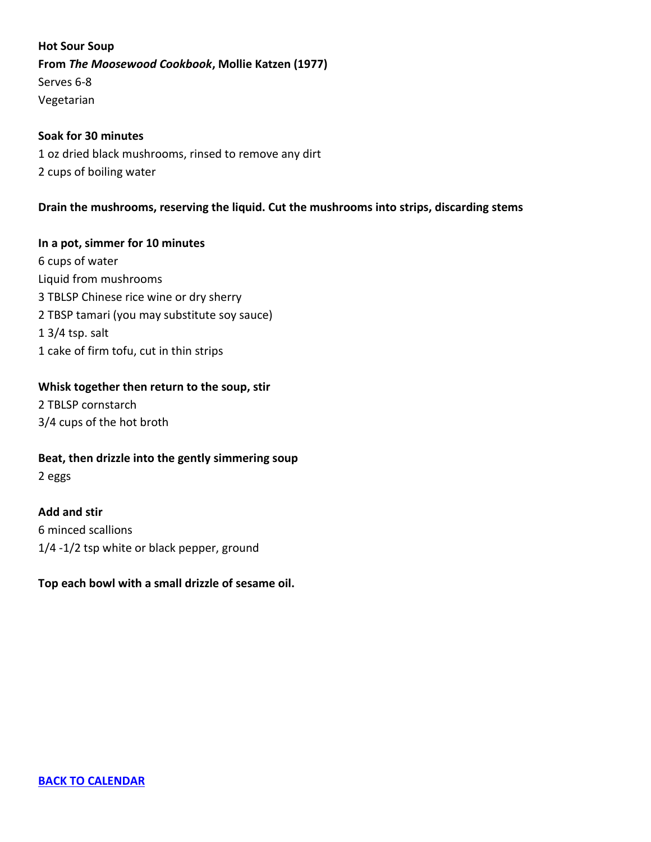<span id="page-13-0"></span>**Hot Sour Soup From** *The Moosewood Cookbook***, Mollie Katzen (1977)** Serves 6-8 Vegetarian

## **Soak for 30 minutes**

1 oz dried black mushrooms, rinsed to remove any dirt 2 cups of boiling water

## **Drain the mushrooms, reserving the liquid. Cut the mushrooms into strips, discarding stems**

**In a pot, simmer for 10 minutes** 6 cups of water Liquid from mushrooms 3 TBLSP Chinese rice wine or dry sherry 2 TBSP tamari (you may substitute soy sauce) 1 3/4 tsp. salt 1 cake of firm tofu, cut in thin strips

#### **Whisk together then return to the soup, stir**

2 TBLSP cornstarch 3/4 cups of the hot broth

**Beat, then drizzle into the gently simmering soup** 2 eggs

**Add and stir** 6 minced scallions 1/4 -1/2 tsp white or black pepper, ground

## **Top each bowl with a small drizzle of sesame oil.**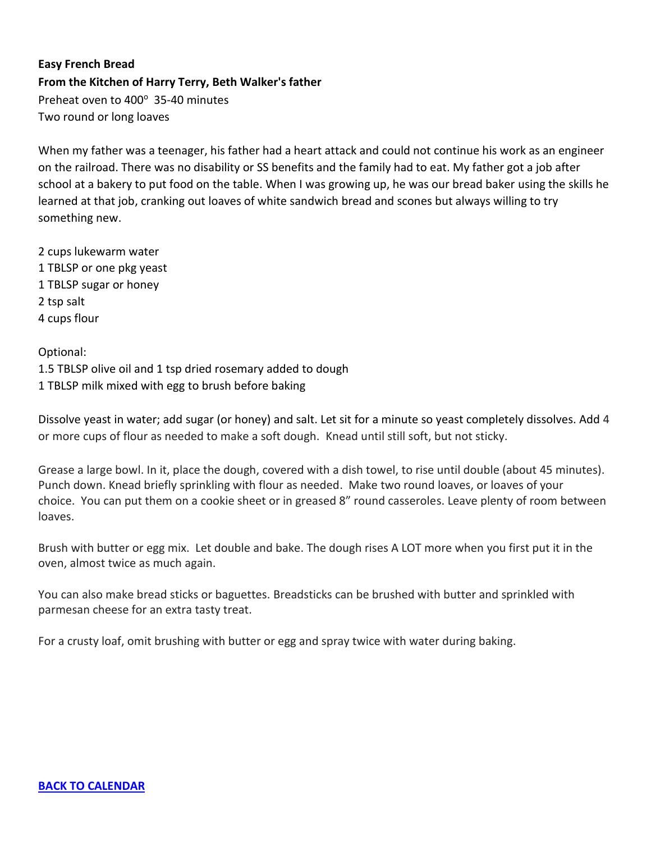# <span id="page-14-0"></span>**Easy French Bread From the Kitchen of Harry Terry, Beth Walker's father**  Preheat oven to 400° 35-40 minutes Two round or long loaves

When my father was a teenager, his father had a heart attack and could not continue his work as an engineer on the railroad. There was no disability or SS benefits and the family had to eat. My father got a job after school at a bakery to put food on the table. When I was growing up, he was our bread baker using the skills he learned at that job, cranking out loaves of white sandwich bread and scones but always willing to try something new.

2 cups lukewarm water 1 TBLSP or one pkg yeast 1 TBLSP sugar or honey 2 tsp salt 4 cups flour

Optional: 1.5 TBLSP olive oil and 1 tsp dried rosemary added to dough 1 TBLSP milk mixed with egg to brush before baking

Dissolve yeast in water; add sugar (or honey) and salt. Let sit for a minute so yeast completely dissolves. Add 4 or more cups of flour as needed to make a soft dough. Knead until still soft, but not sticky.

Grease a large bowl. In it, place the dough, covered with a dish towel, to rise until double (about 45 minutes). Punch down. Knead briefly sprinkling with flour as needed. Make two round loaves, or loaves of your choice. You can put them on a cookie sheet or in greased 8" round casseroles. Leave plenty of room between loaves.

Brush with butter or egg mix. Let double and bake. The dough rises A LOT more when you first put it in the oven, almost twice as much again.

You can also make bread sticks or baguettes. Breadsticks can be brushed with butter and sprinkled with parmesan cheese for an extra tasty treat.

For a crusty loaf, omit brushing with butter or egg and spray twice with water during baking.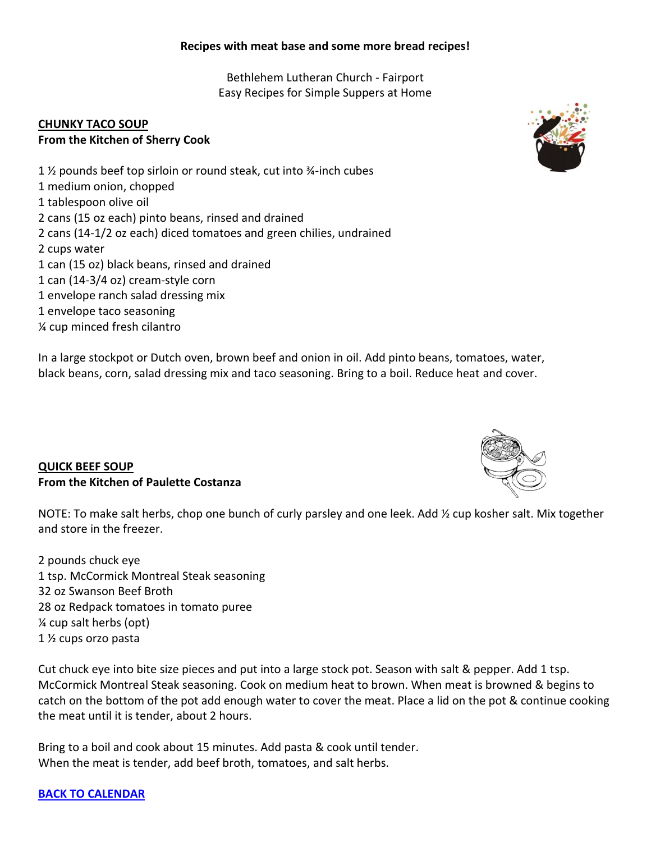## <span id="page-15-0"></span>**Recipes with meat base and some more bread recipes!**

Bethlehem Lutheran Church - Fairport Easy Recipes for Simple Suppers at Home

## **CHUNKY TACO SOUP From the Kitchen of Sherry Cook**

1 ½ pounds beef top sirloin or round steak, cut into ¾-inch cubes 1 medium onion, chopped 1 tablespoon olive oil 2 cans (15 oz each) pinto beans, rinsed and drained 2 cans (14-1/2 oz each) diced tomatoes and green chilies, undrained 2 cups water 1 can (15 oz) black beans, rinsed and drained 1 can (14-3/4 oz) cream-style corn 1 envelope ranch salad dressing mix 1 envelope taco seasoning ¼ cup minced fresh cilantro

<span id="page-15-1"></span>In a large stockpot or Dutch oven, brown beef and onion in oil. Add pinto beans, tomatoes, water, black beans, corn, salad dressing mix and taco seasoning. Bring to a boil. Reduce heat and cover.

## **QUICK BEEF SOUP From the Kitchen of Paulette Costanza**

NOTE: To make salt herbs, chop one bunch of curly parsley and one leek. Add 1/2 cup kosher salt. Mix together and store in the freezer.

2 pounds chuck eye 1 tsp. McCormick Montreal Steak seasoning 32 oz Swanson Beef Broth 28 oz Redpack tomatoes in tomato puree ¼ cup salt herbs (opt) 1 ½ cups orzo pasta

Cut chuck eye into bite size pieces and put into a large stock pot. Season with salt & pepper. Add 1 tsp. McCormick Montreal Steak seasoning. Cook on medium heat to brown. When meat is browned & begins to catch on the bottom of the pot add enough water to cover the meat. Place a lid on the pot & continue cooking the meat until it is tender, about 2 hours.

Bring to a boil and cook about 15 minutes. Add pasta & cook until tender. When the meat is tender, add beef broth, tomatoes, and salt herbs.

## **[BACK TO CALENDAR](#page-0-0)**



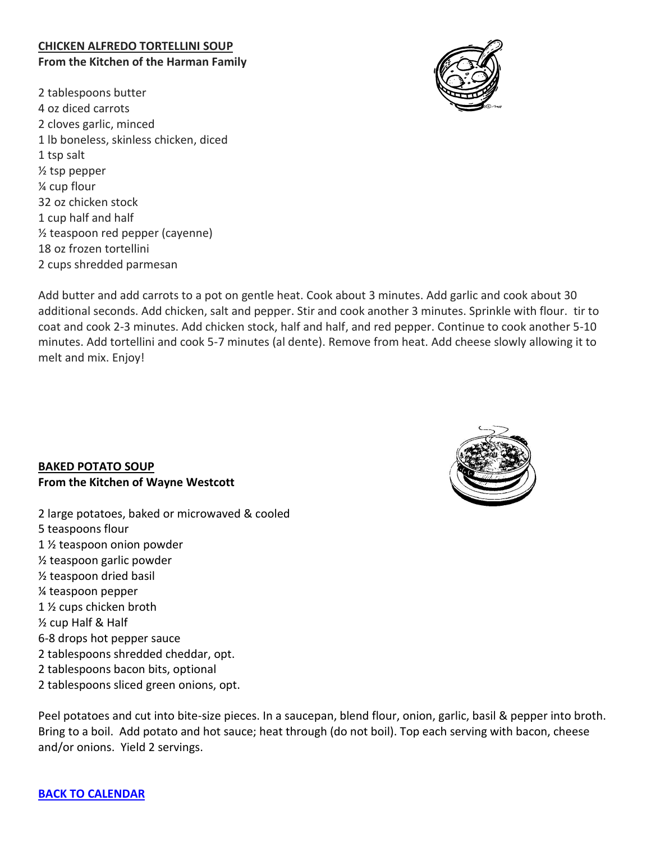## <span id="page-16-0"></span>**CHICKEN ALFREDO TORTELLINI SOUP From the Kitchen of the Harman Family**

2 tablespoons butter 4 oz diced carrots 2 cloves garlic, minced 1 lb boneless, skinless chicken, diced 1 tsp salt ½ tsp pepper ¼ cup flour 32 oz chicken stock 1 cup half and half ½ teaspoon red pepper (cayenne) 18 oz frozen tortellini 2 cups shredded parmesan



<span id="page-16-1"></span>Add butter and add carrots to a pot on gentle heat. Cook about 3 minutes. Add garlic and cook about 30 additional seconds. Add chicken, salt and pepper. Stir and cook another 3 minutes. Sprinkle with flour. tir to coat and cook 2-3 minutes. Add chicken stock, half and half, and red pepper. Continue to cook another 5-10 minutes. Add tortellini and cook 5-7 minutes (al dente). Remove from heat. Add cheese slowly allowing it to melt and mix. Enjoy!

## **BAKED POTATO SOUP From the Kitchen of Wayne Westcott**

<span id="page-16-2"></span>2 large potatoes, baked or microwaved & cooled 5 teaspoons flour 1 ½ teaspoon onion powder ½ teaspoon garlic powder ½ teaspoon dried basil ¼ teaspoon pepper 1 ½ cups chicken broth ½ cup Half & Half 6-8 drops hot pepper sauce 2 tablespoons shredded cheddar, opt. 2 tablespoons bacon bits, optional 2 tablespoons sliced green onions, opt.



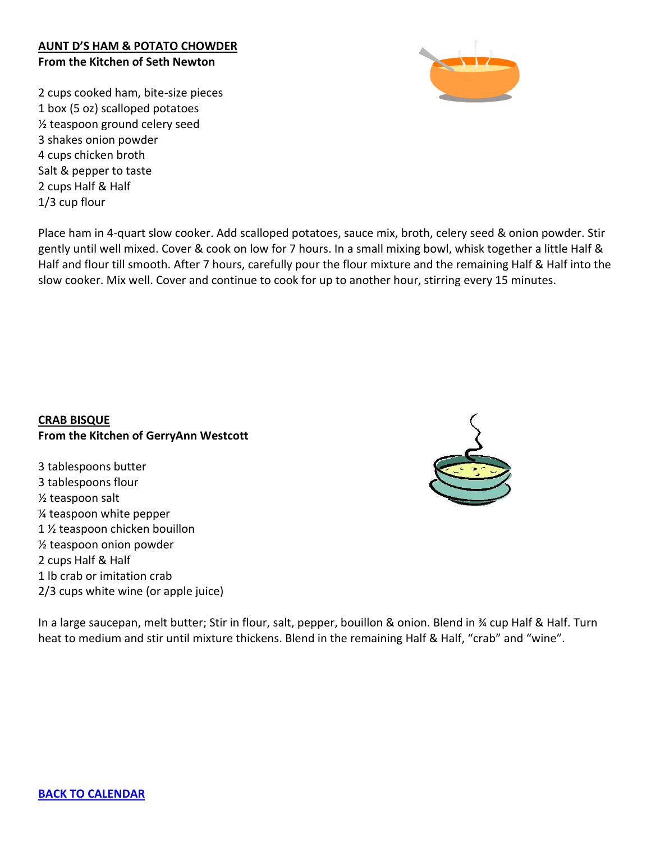## **AUNT D'S HAM & POTATO CHOWDER From the Kitchen of Seth Newton**

<span id="page-17-0"></span>2 cups cooked ham, bite-size pieces 1 box (5 oz) scalloped potatoes ½ teaspoon ground celery seed 3 shakes onion powder 4 cups chicken broth Salt & pepper to taste 2 cups Half & Half 1/3 cup flour

Place ham in 4-quart slow cooker. Add scalloped potatoes, sauce mix, broth, celery seed & onion powder. Stir gently until well mixed. Cover & cook on low for 7 hours. In a small mixing bowl, whisk together a little Half & Half and flour till smooth. After 7 hours, carefully pour the flour mixture and the remaining Half & Half into the slow cooker. Mix well. Cover and continue to cook for up to another hour, stirring every 15 minutes.

## **CRAB BISQUE From the Kitchen of GerryAnn Westcott**

3 tablespoons butter 3 tablespoons flour ½ teaspoon salt ¼ teaspoon white pepper 1 ½ teaspoon chicken bouillon ½ teaspoon onion powder 2 cups Half & Half 1 lb crab or imitation crab 2/3 cups white wine (or apple juice)

In a large saucepan, melt butter; Stir in flour, salt, pepper, bouillon & onion. Blend in ¾ cup Half & Half. Turn heat to medium and stir until mixture thickens. Blend in the remaining Half & Half, "crab" and "wine".

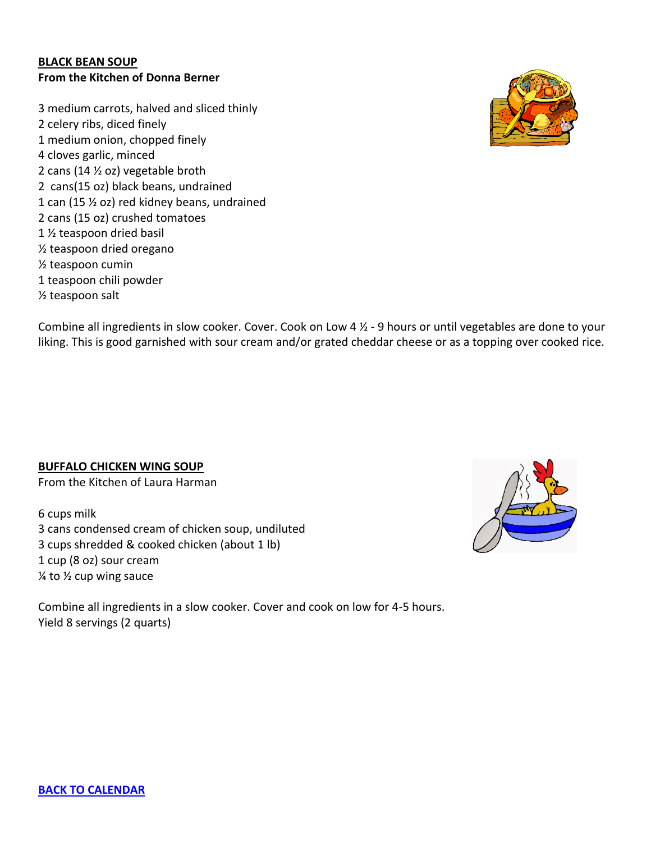#### <span id="page-18-0"></span>**BLACK BEAN SOUP From the Kitchen of Donna Berner**

3 medium carrots, halved and sliced thinly 2 celery ribs, diced finely 1 medium onion, chopped finely 4 cloves garlic, minced 2 cans (14 ½ oz) vegetable broth 2 cans(15 oz) black beans, undrained 1 can (15 ½ oz) red kidney beans, undrained 2 cans (15 oz) crushed tomatoes 1 ½ teaspoon dried basil ½ teaspoon dried oregano ½ teaspoon cumin 1 teaspoon chili powder ½ teaspoon salt

<span id="page-18-1"></span>Combine all ingredients in slow cooker. Cover. Cook on Low 4 ½ - 9 hours or until vegetables are done to your liking. This is good garnished with sour cream and/or grated cheddar cheese or as a topping over cooked rice.

**BUFFALO CHICKEN WING SOUP**

From the Kitchen of Laura Harman

6 cups milk 3 cans condensed cream of chicken soup, undiluted 3 cups shredded & cooked chicken (about 1 lb) 1 cup (8 oz) sour cream  $\frac{1}{4}$  to  $\frac{1}{2}$  cup wing sauce

Combine all ingredients in a slow cooker. Cover and cook on low for 4-5 hours. Yield 8 servings (2 quarts)